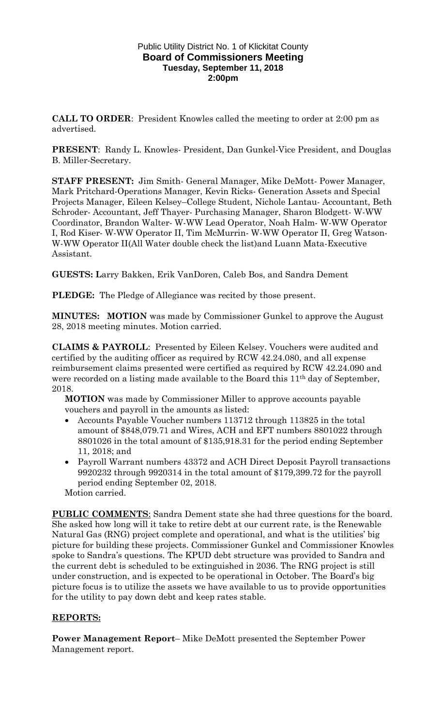## Public Utility District No. 1 of Klickitat County **Board of Commissioners Meeting Tuesday, September 11, 2018 2:00pm**

**CALL TO ORDER**: President Knowles called the meeting to order at 2:00 pm as advertised.

**PRESENT**: Randy L. Knowles- President, Dan Gunkel-Vice President, and Douglas B. Miller-Secretary.

**STAFF PRESENT:** Jim Smith- General Manager, Mike DeMott- Power Manager, Mark Pritchard-Operations Manager, Kevin Ricks- Generation Assets and Special Projects Manager, Eileen Kelsey–College Student, Nichole Lantau- Accountant, Beth Schroder- Accountant, Jeff Thayer- Purchasing Manager, Sharon Blodgett- W-WW Coordinator, Brandon Walter- W-WW Lead Operator, Noah Halm- W-WW Operator I, Rod Kiser- W-WW Operator II, Tim McMurrin- W-WW Operator II, Greg Watson-W-WW Operator II(All Water double check the list)and Luann Mata-Executive Assistant.

**GUESTS: L**arry Bakken, Erik VanDoren, Caleb Bos, and Sandra Dement

**PLEDGE:** The Pledge of Allegiance was recited by those present.

**MINUTES: MOTION** was made by Commissioner Gunkel to approve the August 28, 2018 meeting minutes. Motion carried.

**CLAIMS & PAYROLL**: Presented by Eileen Kelsey. Vouchers were audited and certified by the auditing officer as required by RCW 42.24.080, and all expense reimbursement claims presented were certified as required by RCW 42.24.090 and were recorded on a listing made available to the Board this 11<sup>th</sup> day of September, 2018.

**MOTION** was made by Commissioner Miller to approve accounts payable vouchers and payroll in the amounts as listed:

- Accounts Payable Voucher numbers 113712 through 113825 in the total amount of \$848,079.71 and Wires, ACH and EFT numbers 8801022 through 8801026 in the total amount of \$135,918.31 for the period ending September 11, 2018; and
- Payroll Warrant numbers 43372 and ACH Direct Deposit Payroll transactions 9920232 through 9920314 in the total amount of \$179,399.72 for the payroll period ending September 02, 2018.

Motion carried.

**PUBLIC COMMENTS**: Sandra Dement state she had three questions for the board. She asked how long will it take to retire debt at our current rate, is the Renewable Natural Gas (RNG) project complete and operational, and what is the utilities' big picture for building these projects. Commissioner Gunkel and Commissioner Knowles spoke to Sandra's questions. The KPUD debt structure was provided to Sandra and the current debt is scheduled to be extinguished in 2036. The RNG project is still under construction, and is expected to be operational in October. The Board's big picture focus is to utilize the assets we have available to us to provide opportunities for the utility to pay down debt and keep rates stable.

## **REPORTS:**

**Power Management Report**– Mike DeMott presented the September Power Management report.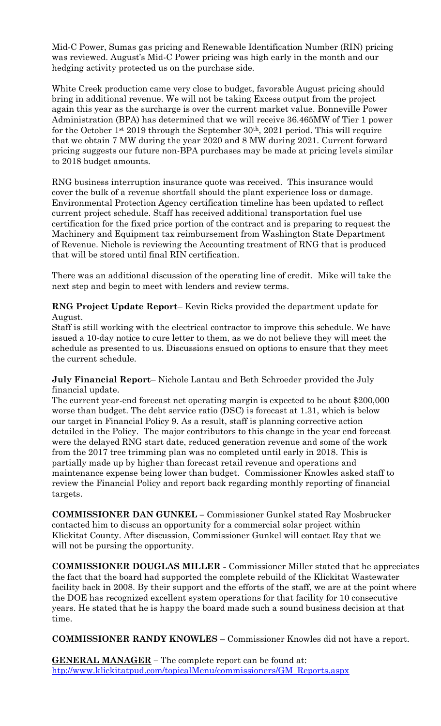Mid-C Power, Sumas gas pricing and Renewable Identification Number (RIN) pricing was reviewed. August's Mid-C Power pricing was high early in the month and our hedging activity protected us on the purchase side.

White Creek production came very close to budget, favorable August pricing should bring in additional revenue. We will not be taking Excess output from the project again this year as the surcharge is over the current market value. Bonneville Power Administration (BPA) has determined that we will receive 36.465MW of Tier 1 power for the October 1<sup>st</sup> 2019 through the September  $30<sup>th</sup>$ , 2021 period. This will require that we obtain 7 MW during the year 2020 and 8 MW during 2021. Current forward pricing suggests our future non-BPA purchases may be made at pricing levels similar to 2018 budget amounts.

RNG business interruption insurance quote was received. This insurance would cover the bulk of a revenue shortfall should the plant experience loss or damage. Environmental Protection Agency certification timeline has been updated to reflect current project schedule. Staff has received additional transportation fuel use certification for the fixed price portion of the contract and is preparing to request the Machinery and Equipment tax reimbursement from Washington State Department of Revenue. Nichole is reviewing the Accounting treatment of RNG that is produced that will be stored until final RIN certification.

There was an additional discussion of the operating line of credit. Mike will take the next step and begin to meet with lenders and review terms.

**RNG Project Update Report**– Kevin Ricks provided the department update for August.

Staff is still working with the electrical contractor to improve this schedule. We have issued a 10-day notice to cure letter to them, as we do not believe they will meet the schedule as presented to us. Discussions ensued on options to ensure that they meet the current schedule.

**July Financial Report**– Nichole Lantau and Beth Schroeder provided the July financial update.

The current year-end forecast net operating margin is expected to be about \$200,000 worse than budget. The debt service ratio (DSC) is forecast at 1.31, which is below our target in Financial Policy 9. As a result, staff is planning corrective action detailed in the Policy. The major contributors to this change in the year end forecast were the delayed RNG start date, reduced generation revenue and some of the work from the 2017 tree trimming plan was no completed until early in 2018. This is partially made up by higher than forecast retail revenue and operations and maintenance expense being lower than budget. Commissioner Knowles asked staff to review the Financial Policy and report back regarding monthly reporting of financial targets.

**COMMISSIONER DAN GUNKEL –** Commissioner Gunkel stated Ray Mosbrucker contacted him to discuss an opportunity for a commercial solar project within Klickitat County. After discussion, Commissioner Gunkel will contact Ray that we will not be pursing the opportunity.

**COMMISSIONER DOUGLAS MILLER -** Commissioner Miller stated that he appreciates the fact that the board had supported the complete rebuild of the Klickitat Wastewater facility back in 2008. By their support and the efforts of the staff, we are at the point where the DOE has recognized excellent system operations for that facility for 10 consecutive years. He stated that he is happy the board made such a sound business decision at that time.

**COMMISSIONER RANDY KNOWLES** – Commissioner Knowles did not have a report.

**GENERAL MANAGER –** The complete report can be found at: [htp://www.klickitatpud.com/topicalMenu/commissioners/GM\\_Reports.aspx](http://www.klickitatpud.com/topicalMenu/commissioners/GM_Reports.aspx)